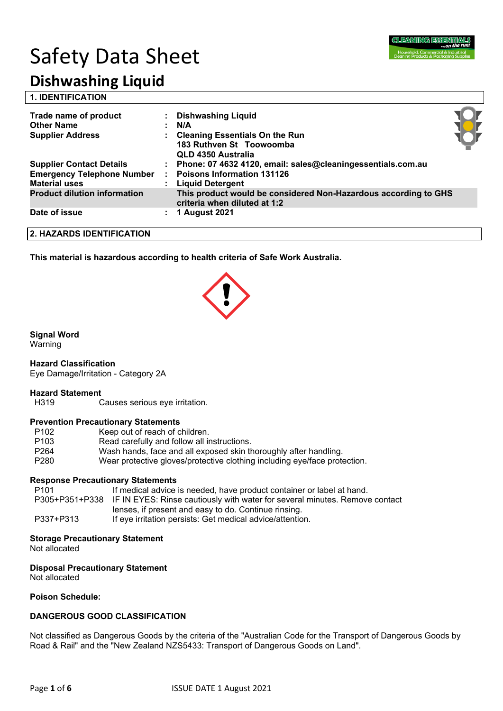

# Safety Data Sheet

# **Dishwashing Liquid**

| Trade name of product<br><b>Other Name</b><br><b>Supplier Address</b> | <b>Dishwashing Liquid</b><br>N/A<br><b>Cleaning Essentials On the Run</b><br>183 Ruthven St Toowoomba<br>QLD 4350 Australia |  |
|-----------------------------------------------------------------------|-----------------------------------------------------------------------------------------------------------------------------|--|
| <b>Supplier Contact Details</b><br><b>Emergency Telephone Number</b>  | : Phone: 07 4632 4120, email: sales@cleaningessentials.com.au<br><b>Poisons Information 131126</b>                          |  |
| <b>Material uses</b>                                                  | : Liquid Detergent                                                                                                          |  |
| <b>Product dilution information</b>                                   | This product would be considered Non-Hazardous according to GHS<br>criteria when diluted at 1:2                             |  |
| Date of issue                                                         | <b>1 August 2021</b>                                                                                                        |  |

#### **2. HAZARDS IDENTIFICATION**

**This material is hazardous according to health criteria of Safe Work Australia.**

#### **Signal Word**

Warning

#### **Hazard Classification**

Eye Damage/Irritation - Category 2A

#### **Hazard Statement**

H319 Causes serious eye irritation.

#### **Prevention Precautionary Statements**

| P <sub>102</sub> | Keep out of reach of children.                                            |
|------------------|---------------------------------------------------------------------------|
| P <sub>103</sub> | Read carefully and follow all instructions.                               |
| P <sub>264</sub> | Wash hands, face and all exposed skin thoroughly after handling.          |
| P <sub>280</sub> | Wear protective gloves/protective clothing including eye/face protection. |

#### **Response Precautionary Statements**

| P101      | If medical advice is needed, have product container or label at hand.                      |
|-----------|--------------------------------------------------------------------------------------------|
|           | P305+P351+P338 IF IN EYES: Rinse cautiously with water for several minutes. Remove contact |
|           | lenses, if present and easy to do. Continue rinsing.                                       |
| P337+P313 | If eve irritation persists: Get medical advice/attention.                                  |

#### **Storage Precautionary Statement**

Not allocated

#### **Disposal Precautionary Statement**

Not allocated

#### **Poison Schedule:**

#### **DANGEROUS GOOD CLASSIFICATION**

Not classified as Dangerous Goods by the criteria of the "Australian Code for the Transport of Dangerous Goods by Road & Rail" and the "New Zealand NZS5433: Transport of Dangerous Goods on Land".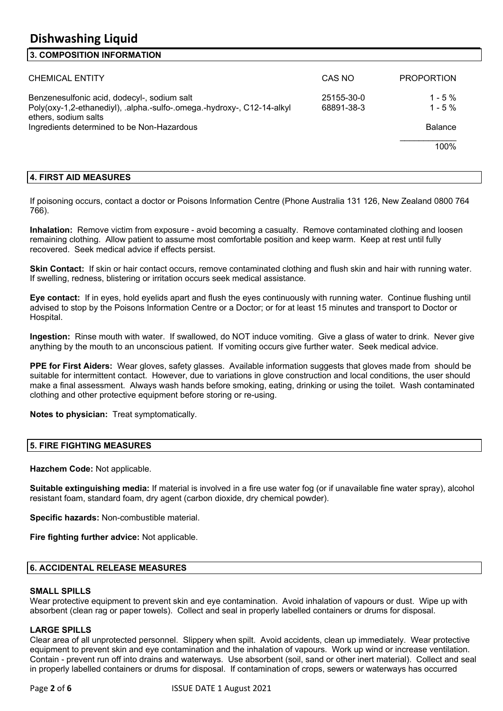# **Dishwashing Liquid**

#### **3. COMPOSITION INFORMATION**

| <b>CHEMICAL ENTITY</b>                                                                                                                                                                      | CAS NO                   | <b>PROPORTION</b>                                 |
|---------------------------------------------------------------------------------------------------------------------------------------------------------------------------------------------|--------------------------|---------------------------------------------------|
| Benzenesulfonic acid, dodecyl-, sodium salt<br>Poly(oxy-1,2-ethanediyl), .alpha.-sulfo-.omega.-hydroxy-, C12-14-alkyl<br>ethers, sodium salts<br>Ingredients determined to be Non-Hazardous | 25155-30-0<br>68891-38-3 | $1 - 5 \%$<br>$1 - 5\%$<br><b>Balance</b><br>100% |

#### **4. FIRST AID MEASURES**

If poisoning occurs, contact a doctor or Poisons Information Centre (Phone Australia 131 126, New Zealand 0800 764 766).

**Inhalation:** Remove victim from exposure - avoid becoming a casualty. Remove contaminated clothing and loosen remaining clothing. Allow patient to assume most comfortable position and keep warm. Keep at rest until fully recovered. Seek medical advice if effects persist.

**Skin Contact:** If skin or hair contact occurs, remove contaminated clothing and flush skin and hair with running water. If swelling, redness, blistering or irritation occurs seek medical assistance.

**Eye contact:** If in eyes, hold eyelids apart and flush the eyes continuously with running water. Continue flushing until advised to stop by the Poisons Information Centre or a Doctor; or for at least 15 minutes and transport to Doctor or Hospital.

**Ingestion:** Rinse mouth with water. If swallowed, do NOT induce vomiting. Give a glass of water to drink. Never give anything by the mouth to an unconscious patient. If vomiting occurs give further water. Seek medical advice.

**PPE for First Aiders:** Wear gloves, safety glasses. Available information suggests that gloves made from should be suitable for intermittent contact. However, due to variations in glove construction and local conditions, the user should make a final assessment. Always wash hands before smoking, eating, drinking or using the toilet. Wash contaminated clothing and other protective equipment before storing or re-using.

**Notes to physician:** Treat symptomatically.

#### **5. FIRE FIGHTING MEASURES**

**Hazchem Code:** Not applicable.

**Suitable extinguishing media:** If material is involved in a fire use water fog (or if unavailable fine water spray), alcohol resistant foam, standard foam, dry agent (carbon dioxide, dry chemical powder).

**Specific hazards:** Non-combustible material.

**Fire fighting further advice:** Not applicable.

#### **6. ACCIDENTAL RELEASE MEASURES**

#### **SMALL SPILLS**

Wear protective equipment to prevent skin and eye contamination. Avoid inhalation of vapours or dust. Wipe up with absorbent (clean rag or paper towels). Collect and seal in properly labelled containers or drums for disposal.

#### **LARGE SPILLS**

Clear area of all unprotected personnel. Slippery when spilt. Avoid accidents, clean up immediately. Wear protective equipment to prevent skin and eye contamination and the inhalation of vapours. Work up wind or increase ventilation. Contain - prevent run off into drains and waterways. Use absorbent (soil, sand or other inert material). Collect and seal in properly labelled containers or drums for disposal. If contamination of crops, sewers or waterways has occurred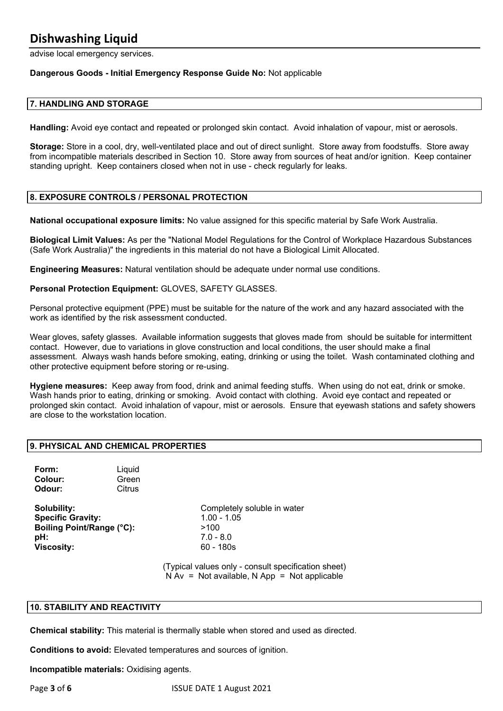### **Dishwashing Liquid**

advise local emergency services.

#### **Dangerous Goods - Initial Emergency Response Guide No:** Not applicable

#### **7. HANDLING AND STORAGE**

**Handling:** Avoid eye contact and repeated or prolonged skin contact. Avoid inhalation of vapour, mist or aerosols.

**Storage:** Store in a cool, dry, well-ventilated place and out of direct sunlight. Store away from foodstuffs. Store away from incompatible materials described in Section 10. Store away from sources of heat and/or ignition. Keep container standing upright. Keep containers closed when not in use - check regularly for leaks.

#### **8. EXPOSURE CONTROLS / PERSONAL PROTECTION**

**National occupational exposure limits:** No value assigned for this specific material by Safe Work Australia.

**Biological Limit Values:** As per the "National Model Regulations for the Control of Workplace Hazardous Substances (Safe Work Australia)" the ingredients in this material do not have a Biological Limit Allocated.

**Engineering Measures:** Natural ventilation should be adequate under normal use conditions.

**Personal Protection Equipment:** GLOVES, SAFETY GLASSES.

Personal protective equipment (PPE) must be suitable for the nature of the work and any hazard associated with the work as identified by the risk assessment conducted.

Wear gloves, safety glasses. Available information suggests that gloves made from should be suitable for intermittent contact. However, due to variations in glove construction and local conditions, the user should make a final assessment. Always wash hands before smoking, eating, drinking or using the toilet. Wash contaminated clothing and other protective equipment before storing or re-using.

**Hygiene measures:** Keep away from food, drink and animal feeding stuffs. When using do not eat, drink or smoke. Wash hands prior to eating, drinking or smoking. Avoid contact with clothing. Avoid eye contact and repeated or prolonged skin contact. Avoid inhalation of vapour, mist or aerosols. Ensure that eyewash stations and safety showers are close to the workstation location.

#### **9. PHYSICAL AND CHEMICAL PROPERTIES**

**Form:** Liquid **Colour:** Green **Odour:** Citrus

**Specific Gravity:** 1.00 - 1.05 **Boiling Point/Range (°C):** >100 **pH:** 7.0 - 8.0 **Viscosity:** 60 - 180s

**Solubility:** Completely soluble in water

(Typical values only - consult specification sheet)  $N Av = Not available, N App = Not applicable$ 

#### **10. STABILITY AND REACTIVITY**

**Chemical stability:** This material is thermally stable when stored and used as directed.

**Conditions to avoid:** Elevated temperatures and sources of ignition.

**Incompatible materials:** Oxidising agents.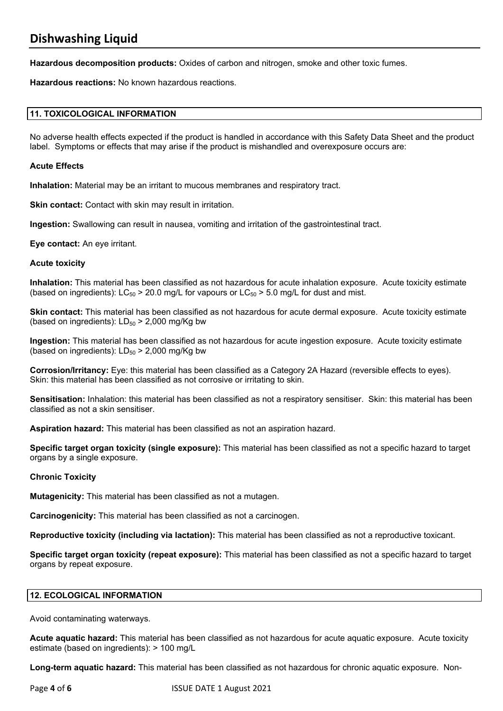**Hazardous decomposition products:** Oxides of carbon and nitrogen, smoke and other toxic fumes.

**Hazardous reactions:** No known hazardous reactions.

#### **11. TOXICOLOGICAL INFORMATION**

No adverse health effects expected if the product is handled in accordance with this Safety Data Sheet and the product label. Symptoms or effects that may arise if the product is mishandled and overexposure occurs are:

#### **Acute Effects**

**Inhalation:** Material may be an irritant to mucous membranes and respiratory tract.

**Skin contact:** Contact with skin may result in irritation.

**Ingestion:** Swallowing can result in nausea, vomiting and irritation of the gastrointestinal tract.

**Eye contact:** An eye irritant.

#### **Acute toxicity**

**Inhalation:** This material has been classified as not hazardous for acute inhalation exposure. Acute toxicity estimate (based on ingredients):  $LC_{50}$  > 20.0 mg/L for vapours or  $LC_{50}$  > 5.0 mg/L for dust and mist.

**Skin contact:** This material has been classified as not hazardous for acute dermal exposure. Acute toxicity estimate (based on ingredients):  $LD_{50}$  > 2,000 mg/Kg bw

**Ingestion:** This material has been classified as not hazardous for acute ingestion exposure. Acute toxicity estimate (based on ingredients):  $LD_{50}$  > 2,000 mg/Kg bw

**Corrosion/Irritancy:** Eye: this material has been classified as a Category 2A Hazard (reversible effects to eyes). Skin: this material has been classified as not corrosive or irritating to skin.

**Sensitisation:** Inhalation: this material has been classified as not a respiratory sensitiser. Skin: this material has been classified as not a skin sensitiser.

**Aspiration hazard:** This material has been classified as not an aspiration hazard.

**Specific target organ toxicity (single exposure):** This material has been classified as not a specific hazard to target organs by a single exposure.

#### **Chronic Toxicity**

**Mutagenicity:** This material has been classified as not a mutagen.

**Carcinogenicity:** This material has been classified as not a carcinogen.

**Reproductive toxicity (including via lactation):** This material has been classified as not a reproductive toxicant.

**Specific target organ toxicity (repeat exposure):** This material has been classified as not a specific hazard to target organs by repeat exposure.

#### **12. ECOLOGICAL INFORMATION**

Avoid contaminating waterways.

**Acute aquatic hazard:** This material has been classified as not hazardous for acute aquatic exposure. Acute toxicity estimate (based on ingredients): > 100 mg/L

**Long-term aquatic hazard:** This material has been classified as not hazardous for chronic aquatic exposure. Non-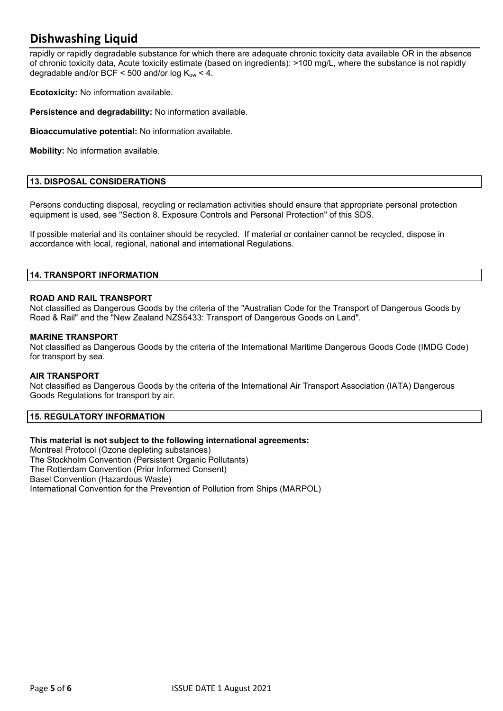## **Dishwashing Liquid**

rapidly or rapidly degradable substance for which there are adequate chronic toxicity data available OR in the absence of chronic toxicity data, Acute toxicity estimate (based on ingredients): >100 mg/L, where the substance is not rapidly degradable and/or BCF  $\leq$  500 and/or log  $K_{\text{ow}}$   $\leq$  4.

**Ecotoxicity:** No information available.

**Persistence and degradability:** No information available.

**Bioaccumulative potential:** No information available.

**Mobility:** No information available.

#### **13. DISPOSAL CONSIDERATIONS**

Persons conducting disposal, recycling or reclamation activities should ensure that appropriate personal protection equipment is used, see "Section 8. Exposure Controls and Personal Protection" of this SDS.

If possible material and its container should be recycled. If material or container cannot be recycled, dispose in accordance with local, regional, national and international Regulations.

#### **14. TRANSPORT INFORMATION**

#### **ROAD AND RAIL TRANSPORT**

Not classified as Dangerous Goods by the criteria of the "Australian Code for the Transport of Dangerous Goods by Road & Rail" and the "New Zealand NZS5433: Transport of Dangerous Goods on Land".

#### **MARINE TRANSPORT**

Not classified as Dangerous Goods by the criteria of the International Maritime Dangerous Goods Code (IMDG Code) for transport by sea.

#### **AIR TRANSPORT**

Not classified as Dangerous Goods by the criteria of the International Air Transport Association (IATA) Dangerous Goods Regulations for transport by air.

#### **15. REGULATORY INFORMATION**

#### **This material is not subject to the following international agreements:**

Montreal Protocol (Ozone depleting substances) The Stockholm Convention (Persistent Organic Pollutants) The Rotterdam Convention (Prior Informed Consent) Basel Convention (Hazardous Waste) International Convention for the Prevention of Pollution from Ships (MARPOL)